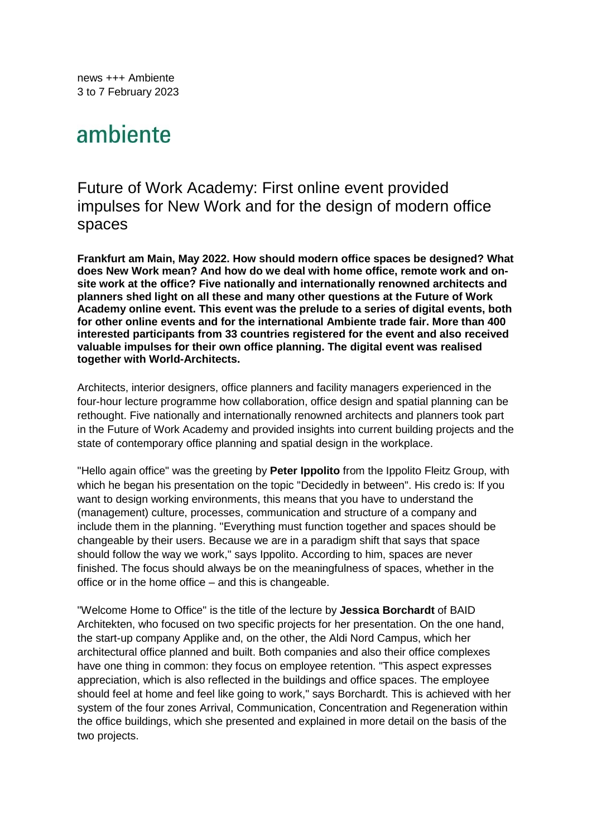news +++ Ambiente 3 to 7 February 2023

# ambiente

# Future of Work Academy: First online event provided impulses for New Work and for the design of modern office spaces

**Frankfurt am Main, May 2022. How should modern office spaces be designed? What does New Work mean? And how do we deal with home office, remote work and onsite work at the office? Five nationally and internationally renowned architects and planners shed light on all these and many other questions at the Future of Work Academy online event. This event was the prelude to a series of digital events, both for other online events and for the international Ambiente trade fair. More than 400 interested participants from 33 countries registered for the event and also received valuable impulses for their own office planning. The digital event was realised together with World-Architects.** 

Architects, interior designers, office planners and facility managers experienced in the four-hour lecture programme how collaboration, office design and spatial planning can be rethought. Five nationally and internationally renowned architects and planners took part in the Future of Work Academy and provided insights into current building projects and the state of contemporary office planning and spatial design in the workplace.

"Hello again office" was the greeting by **Peter Ippolito** from the Ippolito Fleitz Group, with which he began his presentation on the topic "Decidedly in between". His credo is: If you want to design working environments, this means that you have to understand the (management) culture, processes, communication and structure of a company and include them in the planning. "Everything must function together and spaces should be changeable by their users. Because we are in a paradigm shift that says that space should follow the way we work," says Ippolito. According to him, spaces are never finished. The focus should always be on the meaningfulness of spaces, whether in the office or in the home office – and this is changeable.

"Welcome Home to Office" is the title of the lecture by **Jessica Borchardt** of BAID Architekten, who focused on two specific projects for her presentation. On the one hand, the start-up company Applike and, on the other, the Aldi Nord Campus, which her architectural office planned and built. Both companies and also their office complexes have one thing in common: they focus on employee retention. "This aspect expresses appreciation, which is also reflected in the buildings and office spaces. The employee should feel at home and feel like going to work," says Borchardt. This is achieved with her system of the four zones Arrival, Communication, Concentration and Regeneration within the office buildings, which she presented and explained in more detail on the basis of the two projects.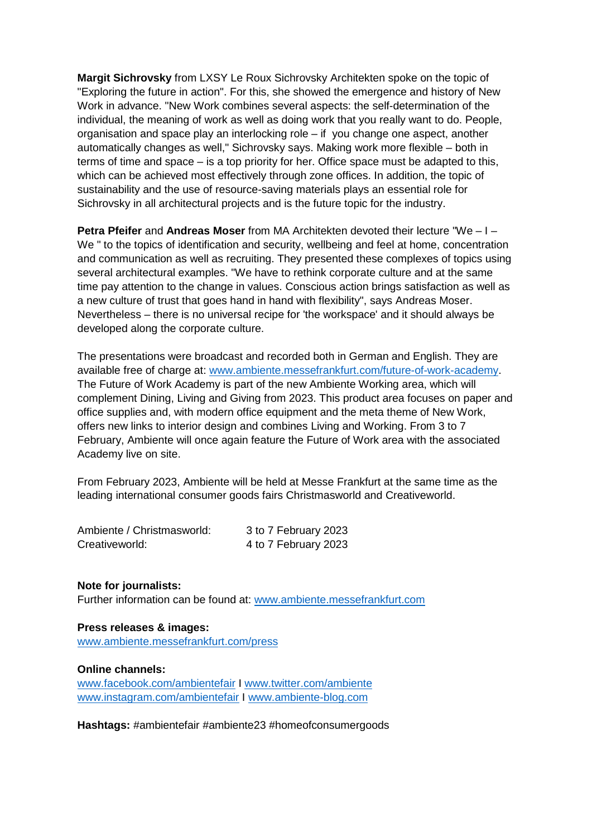**Margit Sichrovsky** from LXSY Le Roux Sichrovsky Architekten spoke on the topic of "Exploring the future in action". For this, she showed the emergence and history of New Work in advance. "New Work combines several aspects: the self-determination of the individual, the meaning of work as well as doing work that you really want to do. People, organisation and space play an interlocking role – if you change one aspect, another automatically changes as well," Sichrovsky says. Making work more flexible – both in terms of time and space – is a top priority for her. Office space must be adapted to this, which can be achieved most effectively through zone offices. In addition, the topic of sustainability and the use of resource-saving materials plays an essential role for Sichrovsky in all architectural projects and is the future topic for the industry.

**Petra Pfeifer** and **Andreas Moser** from MA Architekten devoted their lecture "We – I – We " to the topics of identification and security, wellbeing and feel at home, concentration and communication as well as recruiting. They presented these complexes of topics using several architectural examples. "We have to rethink corporate culture and at the same time pay attention to the change in values. Conscious action brings satisfaction as well as a new culture of trust that goes hand in hand with flexibility", says Andreas Moser. Nevertheless – there is no universal recipe for 'the workspace' and it should always be developed along the corporate culture.

The presentations were broadcast and recorded both in German and English. They are available free of charge at: www.ambiente.messefrankfurt.com/future-of-work-academy. The Future of Work Academy is part of the new Ambiente Working area, which will complement Dining, Living and Giving from 2023. This product area focuses on paper and office supplies and, with modern office equipment and the meta theme of New Work, offers new links to interior design and combines Living and Working. From 3 to 7 February, Ambiente will once again feature the Future of Work area with the associated Academy live on site.

From February 2023, Ambiente will be held at Messe Frankfurt at the same time as the leading international consumer goods fairs Christmasworld and Creativeworld.

| Ambiente / Christmasworld: | 3 to 7 February 2023 |
|----------------------------|----------------------|
| Creativeworld:             | 4 to 7 February 2023 |

# **Note for journalists:**

Further information can be found at: www.ambiente.messefrankfurt.com

# **Press releases & images:**

www.ambiente.messefrankfurt.com/press

# **Online channels:**

www.facebook.com/ambientefair I www.twitter.com/ambiente www.instagram.com/ambientefair I www.ambiente-blog.com

**Hashtags:** #ambientefair #ambiente23 #homeofconsumergoods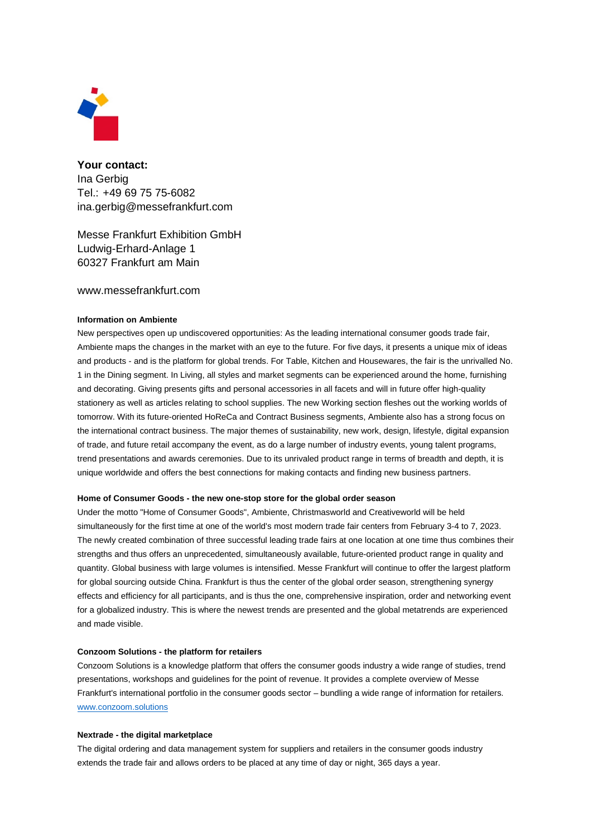

**Your contact:**  Ina Gerbig Tel.: +49 69 75 75-6082 ina.gerbig@messefrankfurt.com

Messe Frankfurt Exhibition GmbH Ludwig-Erhard-Anlage 1 60327 Frankfurt am Main

### www.messefrankfurt.com

#### **Information on Ambiente**

New perspectives open up undiscovered opportunities: As the leading international consumer goods trade fair, Ambiente maps the changes in the market with an eye to the future. For five days, it presents a unique mix of ideas and products - and is the platform for global trends. For Table, Kitchen and Housewares, the fair is the unrivalled No. 1 in the Dining segment. In Living, all styles and market segments can be experienced around the home, furnishing and decorating. Giving presents gifts and personal accessories in all facets and will in future offer high-quality stationery as well as articles relating to school supplies. The new Working section fleshes out the working worlds of tomorrow. With its future-oriented HoReCa and Contract Business segments, Ambiente also has a strong focus on the international contract business. The major themes of sustainability, new work, design, lifestyle, digital expansion of trade, and future retail accompany the event, as do a large number of industry events, young talent programs, trend presentations and awards ceremonies. Due to its unrivaled product range in terms of breadth and depth, it is unique worldwide and offers the best connections for making contacts and finding new business partners.

#### **Home of Consumer Goods - the new one-stop store for the global order season**

Under the motto "Home of Consumer Goods", Ambiente, Christmasworld and Creativeworld will be held simultaneously for the first time at one of the world's most modern trade fair centers from February 3-4 to 7, 2023. The newly created combination of three successful leading trade fairs at one location at one time thus combines their strengths and thus offers an unprecedented, simultaneously available, future-oriented product range in quality and quantity. Global business with large volumes is intensified. Messe Frankfurt will continue to offer the largest platform for global sourcing outside China. Frankfurt is thus the center of the global order season, strengthening synergy effects and efficiency for all participants, and is thus the one, comprehensive inspiration, order and networking event for a globalized industry. This is where the newest trends are presented and the global metatrends are experienced and made visible.

#### **Conzoom Solutions - the platform for retailers**

Conzoom Solutions is a knowledge platform that offers the consumer goods industry a wide range of studies, trend presentations, workshops and guidelines for the point of revenue. It provides a complete overview of Messe Frankfurt's international portfolio in the consumer goods sector – bundling a wide range of information for retailers. www.conzoom.solutions

#### **Nextrade - the digital marketplace**

The digital ordering and data management system for suppliers and retailers in the consumer goods industry extends the trade fair and allows orders to be placed at any time of day or night, 365 days a year.